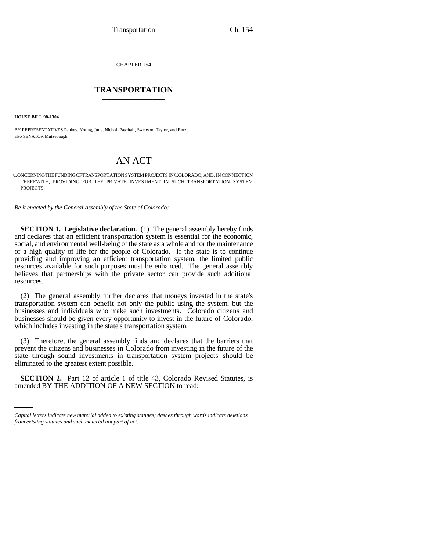CHAPTER 154 \_\_\_\_\_\_\_\_\_\_\_\_\_\_\_

## **TRANSPORTATION** \_\_\_\_\_\_\_\_\_\_\_\_\_\_\_

**HOUSE BILL 98-1304**

BY REPRESENTATIVES Pankey, Young, June, Nichol, Paschall, Swenson, Taylor, and Entz; also SENATOR Mutzebaugh.

## AN ACT

CONCERNING THE FUNDING OF TRANSPORTATION SYSTEM PROJECTS IN COLORADO, AND, IN CONNECTION THEREWITH, PROVIDING FOR THE PRIVATE INVESTMENT IN SUCH TRANSPORTATION SYSTEM PROJECTS.

*Be it enacted by the General Assembly of the State of Colorado:*

**SECTION 1. Legislative declaration.** (1) The general assembly hereby finds and declares that an efficient transportation system is essential for the economic, social, and environmental well-being of the state as a whole and for the maintenance of a high quality of life for the people of Colorado. If the state is to continue providing and improving an efficient transportation system, the limited public resources available for such purposes must be enhanced. The general assembly believes that partnerships with the private sector can provide such additional resources.

(2) The general assembly further declares that moneys invested in the state's transportation system can benefit not only the public using the system, but the businesses and individuals who make such investments. Colorado citizens and businesses should be given every opportunity to invest in the future of Colorado, which includes investing in the state's transportation system.

(3) Therefore, the general assembly finds and declares that the barriers that prevent the citizens and businesses in Colorado from investing in the future of the state through sound investments in transportation system projects should be eliminated to the greatest extent possible.

 **SECTION 2.** Part 12 of article 1 of title 43, Colorado Revised Statutes, is amended BY THE ADDITION OF A NEW SECTION to read:

*Capital letters indicate new material added to existing statutes; dashes through words indicate deletions from existing statutes and such material not part of act.*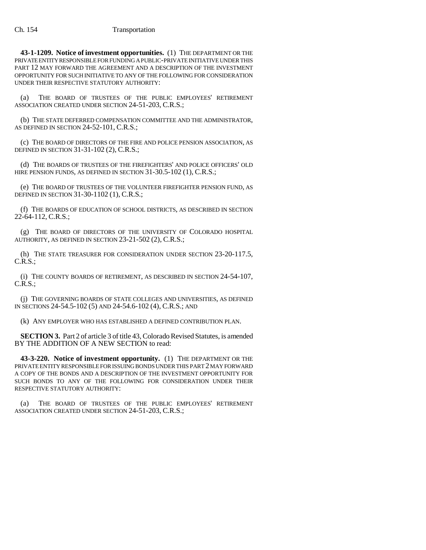**43-1-1209. Notice of investment opportunities.** (1) THE DEPARTMENT OR THE PRIVATE ENTITY RESPONSIBLE FOR FUNDING A PUBLIC-PRIVATE INITIATIVE UNDER THIS PART 12 MAY FORWARD THE AGREEMENT AND A DESCRIPTION OF THE INVESTMENT OPPORTUNITY FOR SUCH INITIATIVE TO ANY OF THE FOLLOWING FOR CONSIDERATION UNDER THEIR RESPECTIVE STATUTORY AUTHORITY:

(a) THE BOARD OF TRUSTEES OF THE PUBLIC EMPLOYEES' RETIREMENT ASSOCIATION CREATED UNDER SECTION 24-51-203, C.R.S.;

(b) THE STATE DEFERRED COMPENSATION COMMITTEE AND THE ADMINISTRATOR, AS DEFINED IN SECTION 24-52-101, C.R.S.;

(c) THE BOARD OF DIRECTORS OF THE FIRE AND POLICE PENSION ASSOCIATION, AS DEFINED IN SECTION 31-31-102 (2), C.R.S.;

(d) THE BOARDS OF TRUSTEES OF THE FIREFIGHTERS' AND POLICE OFFICERS' OLD HIRE PENSION FUNDS, AS DEFINED IN SECTION 31-30.5-102 (1), C.R.S.;

(e) THE BOARD OF TRUSTEES OF THE VOLUNTEER FIREFIGHTER PENSION FUND, AS DEFINED IN SECTION 31-30-1102 (1), C.R.S.;

(f) THE BOARDS OF EDUCATION OF SCHOOL DISTRICTS, AS DESCRIBED IN SECTION 22-64-112, C.R.S.;

(g) THE BOARD OF DIRECTORS OF THE UNIVERSITY OF COLORADO HOSPITAL AUTHORITY, AS DEFINED IN SECTION 23-21-502 (2), C.R.S.;

(h) THE STATE TREASURER FOR CONSIDERATION UNDER SECTION 23-20-117.5, C.R.S.;

(i) THE COUNTY BOARDS OF RETIREMENT, AS DESCRIBED IN SECTION 24-54-107, C.R.S.;

(j) THE GOVERNING BOARDS OF STATE COLLEGES AND UNIVERSITIES, AS DEFINED IN SECTIONS 24-54.5-102 (5) AND 24-54.6-102 (4), C.R.S.; AND

(k) ANY EMPLOYER WHO HAS ESTABLISHED A DEFINED CONTRIBUTION PLAN.

**SECTION 3.** Part 2 of article 3 of title 43, Colorado Revised Statutes, is amended BY THE ADDITION OF A NEW SECTION to read:

**43-3-220. Notice of investment opportunity.** (1) THE DEPARTMENT OR THE PRIVATE ENTITY RESPONSIBLE FOR ISSUING BONDS UNDER THIS PART 2 MAY FORWARD A COPY OF THE BONDS AND A DESCRIPTION OF THE INVESTMENT OPPORTUNITY FOR SUCH BONDS TO ANY OF THE FOLLOWING FOR CONSIDERATION UNDER THEIR RESPECTIVE STATUTORY AUTHORITY:

(a) THE BOARD OF TRUSTEES OF THE PUBLIC EMPLOYEES' RETIREMENT ASSOCIATION CREATED UNDER SECTION 24-51-203, C.R.S.;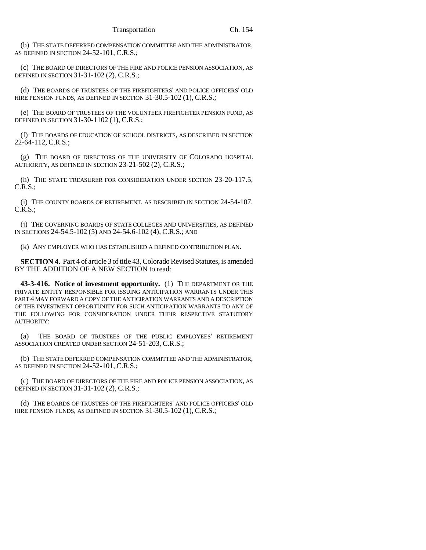(b) THE STATE DEFERRED COMPENSATION COMMITTEE AND THE ADMINISTRATOR, AS DEFINED IN SECTION 24-52-101, C.R.S.;

(c) THE BOARD OF DIRECTORS OF THE FIRE AND POLICE PENSION ASSOCIATION, AS DEFINED IN SECTION 31-31-102 (2), C.R.S.;

(d) THE BOARDS OF TRUSTEES OF THE FIREFIGHTERS' AND POLICE OFFICERS' OLD HIRE PENSION FUNDS, AS DEFINED IN SECTION 31-30.5-102 (1), C.R.S.;

(e) THE BOARD OF TRUSTEES OF THE VOLUNTEER FIREFIGHTER PENSION FUND, AS DEFINED IN SECTION 31-30-1102 (1), C.R.S.;

(f) THE BOARDS OF EDUCATION OF SCHOOL DISTRICTS, AS DESCRIBED IN SECTION 22-64-112, C.R.S.;

(g) THE BOARD OF DIRECTORS OF THE UNIVERSITY OF COLORADO HOSPITAL AUTHORITY, AS DEFINED IN SECTION 23-21-502 (2), C.R.S.;

(h) THE STATE TREASURER FOR CONSIDERATION UNDER SECTION 23-20-117.5, C.R.S.;

(i) THE COUNTY BOARDS OF RETIREMENT, AS DESCRIBED IN SECTION 24-54-107, C.R.S.;

(j) THE GOVERNING BOARDS OF STATE COLLEGES AND UNIVERSITIES, AS DEFINED IN SECTIONS 24-54.5-102 (5) AND 24-54.6-102 (4), C.R.S.; AND

(k) ANY EMPLOYER WHO HAS ESTABLISHED A DEFINED CONTRIBUTION PLAN.

**SECTION 4.** Part 4 of article 3 of title 43, Colorado Revised Statutes, is amended BY THE ADDITION OF A NEW SECTION to read:

**43-3-416. Notice of investment opportunity.** (1) THE DEPARTMENT OR THE PRIVATE ENTITY RESPONSIBLE FOR ISSUING ANTICIPATION WARRANTS UNDER THIS PART 4 MAY FORWARD A COPY OF THE ANTICIPATION WARRANTS AND A DESCRIPTION OF THE INVESTMENT OPPORTUNITY FOR SUCH ANTICIPATION WARRANTS TO ANY OF THE FOLLOWING FOR CONSIDERATION UNDER THEIR RESPECTIVE STATUTORY AUTHORITY:

(a) THE BOARD OF TRUSTEES OF THE PUBLIC EMPLOYEES' RETIREMENT ASSOCIATION CREATED UNDER SECTION 24-51-203, C.R.S.;

(b) THE STATE DEFERRED COMPENSATION COMMITTEE AND THE ADMINISTRATOR, AS DEFINED IN SECTION 24-52-101, C.R.S.;

(c) THE BOARD OF DIRECTORS OF THE FIRE AND POLICE PENSION ASSOCIATION, AS DEFINED IN SECTION 31-31-102 (2), C.R.S.;

(d) THE BOARDS OF TRUSTEES OF THE FIREFIGHTERS' AND POLICE OFFICERS' OLD HIRE PENSION FUNDS, AS DEFINED IN SECTION 31-30.5-102 (1), C.R.S.;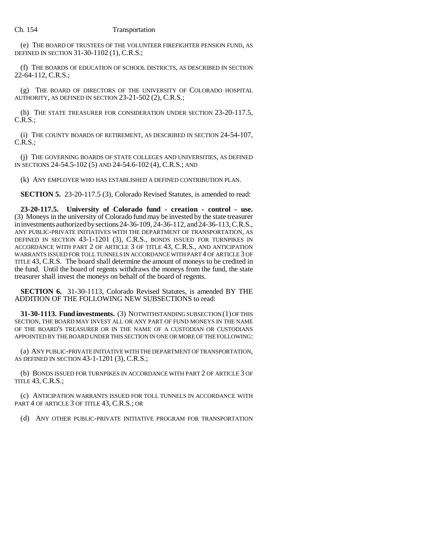(e) THE BOARD OF TRUSTEES OF THE VOLUNTEER FIREFIGHTER PENSION FUND, AS DEFINED IN SECTION 31-30-1102 (1), C.R.S.;

(f) THE BOARDS OF EDUCATION OF SCHOOL DISTRICTS, AS DESCRIBED IN SECTION 22-64-112, C.R.S.;

(g) THE BOARD OF DIRECTORS OF THE UNIVERSITY OF COLORADO HOSPITAL AUTHORITY, AS DEFINED IN SECTION 23-21-502 (2), C.R.S.;

(h) THE STATE TREASURER FOR CONSIDERATION UNDER SECTION 23-20-117.5, C.R.S.;

(i) THE COUNTY BOARDS OF RETIREMENT, AS DESCRIBED IN SECTION 24-54-107, C.R.S.;

(j) THE GOVERNING BOARDS OF STATE COLLEGES AND UNIVERSITIES, AS DEFINED IN SECTIONS 24-54.5-102 (5) AND 24-54.6-102 (4), C.R.S.; AND

(k) ANY EMPLOYER WHO HAS ESTABLISHED A DEFINED CONTRIBUTION PLAN.

**SECTION 5.** 23-20-117.5 (3), Colorado Revised Statutes, is amended to read:

**23-20-117.5. University of Colorado fund - creation - control - use.** (3) Moneys in the university of Colorado fund may be invested by the state treasurer in investments authorized by sections 24-36-109, 24-36-112, and 24-36-113, C.R.S., ANY PUBLIC-PRIVATE INITIATIVES WITH THE DEPARTMENT OF TRANSPORTATION, AS DEFINED IN SECTION 43-1-1201 (3), C.R.S., BONDS ISSUED FOR TURNPIKES IN ACCORDANCE WITH PART 2 OF ARTICLE 3 OF TITLE 43, C.R.S., AND ANTICIPATION WARRANTS ISSUED FOR TOLL TUNNELS IN ACCORDANCE WITH PART 4 OF ARTICLE 3 OF TITLE 43, C.R.S. The board shall determine the amount of moneys to be credited in the fund. Until the board of regents withdraws the moneys from the fund, the state treasurer shall invest the moneys on behalf of the board of regents.

**SECTION 6.** 31-30-1113, Colorado Revised Statutes, is amended BY THE ADDITION OF THE FOLLOWING NEW SUBSECTIONS to read:

**31-30-1113. Fund investments.** (3) NOTWITHSTANDING SUBSECTION (1) OF THIS SECTION, THE BOARD MAY INVEST ALL OR ANY PART OF FUND MONEYS IN THE NAME OF THE BOARD'S TREASURER OR IN THE NAME OF A CUSTODIAN OR CUSTODIANS APPOINTED BY THE BOARD UNDER THIS SECTION IN ONE OR MORE OF THE FOLLOWING:

(a) ANY PUBLIC-PRIVATE INITIATIVE WITH THE DEPARTMENT OF TRANSPORTATION, AS DEFINED IN SECTION 43-1-1201 (3), C.R.S.;

(b) BONDS ISSUED FOR TURNPIKES IN ACCORDANCE WITH PART 2 OF ARTICLE 3 OF TITLE 43, C.R.S.;

(c) ANTICIPATION WARRANTS ISSUED FOR TOLL TUNNELS IN ACCORDANCE WITH PART 4 OF ARTICLE 3 OF TITLE 43, C.R.S.; OR

(d) ANY OTHER PUBLIC-PRIVATE INITIATIVE PROGRAM FOR TRANSPORTATION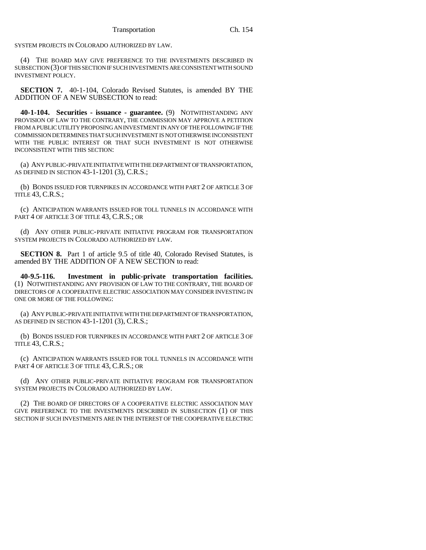SYSTEM PROJECTS IN COLORADO AUTHORIZED BY LAW.

(4) THE BOARD MAY GIVE PREFERENCE TO THE INVESTMENTS DESCRIBED IN SUBSECTION (3) OF THIS SECTION IF SUCH INVESTMENTS ARE CONSISTENT WITH SOUND INVESTMENT POLICY.

**SECTION 7.** 40-1-104, Colorado Revised Statutes, is amended BY THE ADDITION OF A NEW SUBSECTION to read:

**40-1-104. Securities - issuance - guarantee.** (9) NOTWITHSTANDING ANY PROVISION OF LAW TO THE CONTRARY, THE COMMISSION MAY APPROVE A PETITION FROM A PUBLIC UTILITY PROPOSING AN INVESTMENT IN ANY OF THE FOLLOWING IF THE COMMISSION DETERMINES THAT SUCH INVESTMENT IS NOT OTHERWISE INCONSISTENT WITH THE PUBLIC INTEREST OR THAT SUCH INVESTMENT IS NOT OTHERWISE INCONSISTENT WITH THIS SECTION:

(a) ANY PUBLIC-PRIVATE INITIATIVE WITH THE DEPARTMENT OF TRANSPORTATION, AS DEFINED IN SECTION 43-1-1201 (3), C.R.S.;

(b) BONDS ISSUED FOR TURNPIKES IN ACCORDANCE WITH PART 2 OF ARTICLE 3 OF TITLE 43, C.R.S.;

(c) ANTICIPATION WARRANTS ISSUED FOR TOLL TUNNELS IN ACCORDANCE WITH PART 4 OF ARTICLE 3 OF TITLE 43, C.R.S.; OR

(d) ANY OTHER PUBLIC-PRIVATE INITIATIVE PROGRAM FOR TRANSPORTATION SYSTEM PROJECTS IN COLORADO AUTHORIZED BY LAW.

**SECTION 8.** Part 1 of article 9.5 of title 40, Colorado Revised Statutes, is amended BY THE ADDITION OF A NEW SECTION to read:

**40-9.5-116. Investment in public-private transportation facilities.** (1) NOTWITHSTANDING ANY PROVISION OF LAW TO THE CONTRARY, THE BOARD OF DIRECTORS OF A COOPERATIVE ELECTRIC ASSOCIATION MAY CONSIDER INVESTING IN ONE OR MORE OF THE FOLLOWING:

(a) ANY PUBLIC-PRIVATE INITIATIVE WITH THE DEPARTMENT OF TRANSPORTATION, AS DEFINED IN SECTION 43-1-1201 (3), C.R.S.;

(b) BONDS ISSUED FOR TURNPIKES IN ACCORDANCE WITH PART 2 OF ARTICLE 3 OF TITLE 43, C.R.S.;

(c) ANTICIPATION WARRANTS ISSUED FOR TOLL TUNNELS IN ACCORDANCE WITH PART 4 OF ARTICLE 3 OF TITLE 43, C.R.S.; OR

(d) ANY OTHER PUBLIC-PRIVATE INITIATIVE PROGRAM FOR TRANSPORTATION SYSTEM PROJECTS IN COLORADO AUTHORIZED BY LAW.

(2) THE BOARD OF DIRECTORS OF A COOPERATIVE ELECTRIC ASSOCIATION MAY GIVE PREFERENCE TO THE INVESTMENTS DESCRIBED IN SUBSECTION (1) OF THIS SECTION IF SUCH INVESTMENTS ARE IN THE INTEREST OF THE COOPERATIVE ELECTRIC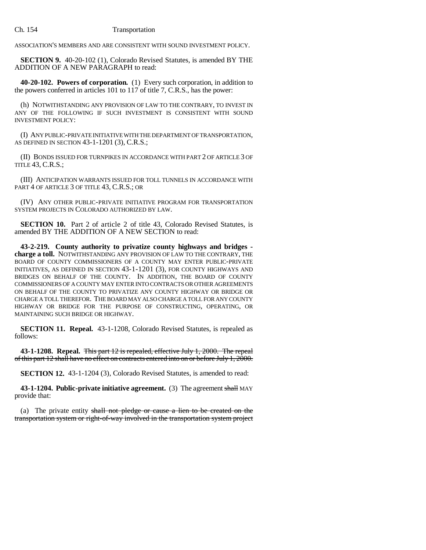ASSOCIATION'S MEMBERS AND ARE CONSISTENT WITH SOUND INVESTMENT POLICY.

**SECTION 9.** 40-20-102 (1), Colorado Revised Statutes, is amended BY THE ADDITION OF A NEW PARAGRAPH to read:

**40-20-102. Powers of corporation.** (1) Every such corporation, in addition to the powers conferred in articles 101 to 117 of title 7, C.R.S., has the power:

(h) NOTWITHSTANDING ANY PROVISION OF LAW TO THE CONTRARY, TO INVEST IN ANY OF THE FOLLOWING IF SUCH INVESTMENT IS CONSISTENT WITH SOUND INVESTMENT POLICY:

(I) ANY PUBLIC-PRIVATE INITIATIVE WITH THE DEPARTMENT OF TRANSPORTATION, AS DEFINED IN SECTION 43-1-1201 (3), C.R.S.;

(II) BONDS ISSUED FOR TURNPIKES IN ACCORDANCE WITH PART 2 OF ARTICLE 3 OF TITLE 43, C.R.S.;

(III) ANTICIPATION WARRANTS ISSUED FOR TOLL TUNNELS IN ACCORDANCE WITH PART 4 OF ARTICLE 3 OF TITLE 43, C.R.S.; OR

(IV) ANY OTHER PUBLIC-PRIVATE INITIATIVE PROGRAM FOR TRANSPORTATION SYSTEM PROJECTS IN COLORADO AUTHORIZED BY LAW.

**SECTION 10.** Part 2 of article 2 of title 43, Colorado Revised Statutes, is amended BY THE ADDITION OF A NEW SECTION to read:

**43-2-219. County authority to privatize county highways and bridges charge a toll.** NOTWITHSTANDING ANY PROVISION OF LAW TO THE CONTRARY, THE BOARD OF COUNTY COMMISSIONERS OF A COUNTY MAY ENTER PUBLIC-PRIVATE INITIATIVES, AS DEFINED IN SECTION 43-1-1201 (3), FOR COUNTY HIGHWAYS AND BRIDGES ON BEHALF OF THE COUNTY. IN ADDITION, THE BOARD OF COUNTY COMMISSIONERS OF A COUNTY MAY ENTER INTO CONTRACTS OR OTHER AGREEMENTS ON BEHALF OF THE COUNTY TO PRIVATIZE ANY COUNTY HIGHWAY OR BRIDGE OR CHARGE A TOLL THEREFOR. THE BOARD MAY ALSO CHARGE A TOLL FOR ANY COUNTY HIGHWAY OR BRIDGE FOR THE PURPOSE OF CONSTRUCTING, OPERATING, OR MAINTAINING SUCH BRIDGE OR HIGHWAY.

**SECTION 11. Repeal.** 43-1-1208, Colorado Revised Statutes, is repealed as follows:

**43-1-1208. Repeal.** This part 12 is repealed, effective July 1, 2000. The repeal of this part 12 shall have no effect on contracts entered into on or before July 1, 2000.

**SECTION 12.** 43-1-1204 (3), Colorado Revised Statutes, is amended to read:

**43-1-1204. Public-private initiative agreement.** (3) The agreement shall MAY provide that:

(a) The private entity shall not pledge or cause a lien to be created on the transportation system or right-of-way involved in the transportation system project